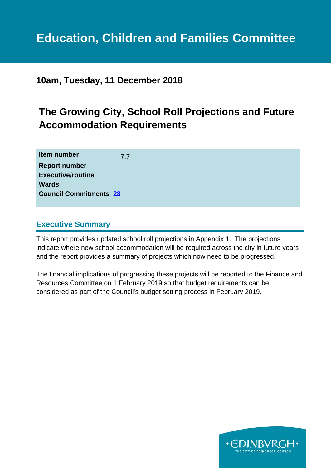# **Education, Children and Families Committee**

### **10am, Tuesday, 11 December 2018**

## **The Growing City, School Roll Projections and Future Accommodation Requirements**

| Item number                   | 7.7 |
|-------------------------------|-----|
| <b>Report number</b>          |     |
| <b>Executive/routine</b>      |     |
| <b>Wards</b>                  |     |
| <b>Council Commitments 28</b> |     |
|                               |     |

#### **Executive Summary**

This report provides updated school roll projections in Appendix 1. The projections indicate where new school accommodation will be required across the city in future years and the report provides a summary of projects which now need to be progressed.

The financial implications of progressing these projects will be reported to the Finance and Resources Committee on 1 February 2019 so that budget requirements can be considered as part of the Council's budget setting process in February 2019.

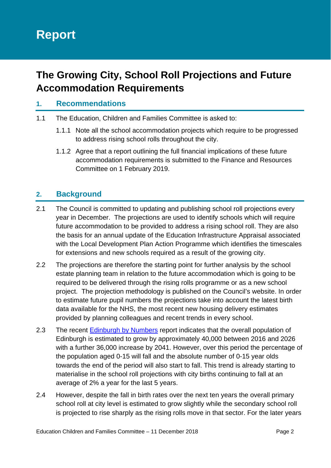## **The Growing City, School Roll Projections and Future Accommodation Requirements**

#### **1. Recommendations**

- 1.1 The Education, Children and Families Committee is asked to:
	- 1.1.1 Note all the school accommodation projects which require to be progressed to address rising school rolls throughout the city.
	- 1.1.2 Agree that a report outlining the full financial implications of these future accommodation requirements is submitted to the Finance and Resources Committee on 1 February 2019.

#### **2. Background**

- 2.1 The Council is committed to updating and publishing school roll projections every year in December. The projections are used to identify schools which will require future accommodation to be provided to address a rising school roll. They are also the basis for an annual update of the Education Infrastructure Appraisal associated with the Local Development Plan Action Programme which identifies the timescales for extensions and new schools required as a result of the growing city.
- 2.2 The projections are therefore the starting point for further analysis by the school estate planning team in relation to the future accommodation which is going to be required to be delivered through the rising rolls programme or as a new school project. The projection methodology is published on the Council's website. In order to estimate future pupil numbers the projections take into account the latest birth data available for the NHS, the most recent new housing delivery estimates provided by planning colleagues and recent trends in every school.
- 2.3 The recent Edinburgh by Numbers report indicates that the overall population of Edinburgh is estimated to grow by approximately 40,000 between 2016 and 2026 with a further 36,000 increase by 2041. However, over this period the percentage of the population aged 0-15 will fall and the absolute number of 0-15 year olds towards the end of the period will also start to fall. This trend is already starting to materialise in the school roll projections with city births continuing to fall at an average of 2% a year for the last 5 years.
- 2.4 However, despite the fall in birth rates over the next ten years the overall primary school roll at city level is estimated to grow slightly while the secondary school roll is projected to rise sharply as the rising rolls move in that sector. For the later years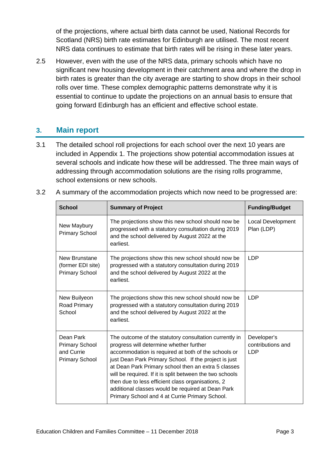of the projections, where actual birth data cannot be used, National Records for Scotland (NRS) birth rate estimates for Edinburgh are utilised. The most recent NRS data continues to estimate that birth rates will be rising in these later years.

2.5 However, even with the use of the NRS data, primary schools which have no significant new housing development in their catchment area and where the drop in birth rates is greater than the city average are starting to show drops in their school rolls over time. These complex demographic patterns demonstrate why it is essential to continue to update the projections on an annual basis to ensure that going forward Edinburgh has an efficient and effective school estate.

#### **3. Main report**

3.1 The detailed school roll projections for each school over the next 10 years are included in Appendix 1. The projections show potential accommodation issues at several schools and indicate how these will be addressed. The three main ways of addressing through accommodation solutions are the rising rolls programme, school extensions or new schools.

| <b>School</b>                                                             | <b>Summary of Project</b>                                                                                                                                                                                                                                                                                                                                                                                                                                                                        | <b>Funding/Budget</b>                          |
|---------------------------------------------------------------------------|--------------------------------------------------------------------------------------------------------------------------------------------------------------------------------------------------------------------------------------------------------------------------------------------------------------------------------------------------------------------------------------------------------------------------------------------------------------------------------------------------|------------------------------------------------|
| New Maybury<br><b>Primary School</b>                                      | The projections show this new school should now be<br>progressed with a statutory consultation during 2019<br>and the school delivered by August 2022 at the<br>earliest.                                                                                                                                                                                                                                                                                                                        | Local Development<br>Plan (LDP)                |
| New Brunstane<br>(former EDI site)<br><b>Primary School</b>               | The projections show this new school should now be<br>progressed with a statutory consultation during 2019<br>and the school delivered by August 2022 at the<br>earliest.                                                                                                                                                                                                                                                                                                                        | <b>LDP</b>                                     |
| New Builyeon<br>Road Primary<br>School                                    | The projections show this new school should now be.<br>progressed with a statutory consultation during 2019<br>and the school delivered by August 2022 at the<br>earliest.                                                                                                                                                                                                                                                                                                                       | <b>LDP</b>                                     |
| Dean Park<br><b>Primary School</b><br>and Currie<br><b>Primary School</b> | The outcome of the statutory consultation currently in<br>progress will determine whether further<br>accommodation is required at both of the schools or<br>just Dean Park Primary School. If the project is just<br>at Dean Park Primary school then an extra 5 classes<br>will be required. If it is split between the two schools<br>then due to less efficient class organisations, 2<br>additional classes would be required at Dean Park<br>Primary School and 4 at Currie Primary School. | Developer's<br>contributions and<br><b>LDP</b> |

3.2 A summary of the accommodation projects which now need to be progressed are: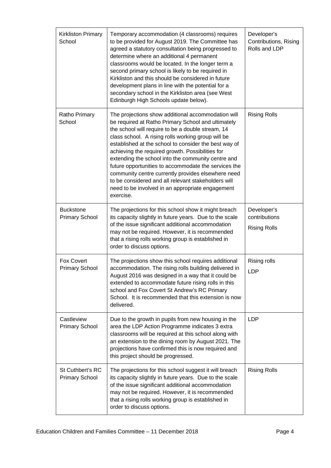| <b>Kirkliston Primary</b><br>School        | Temporary accommodation (4 classrooms) requires<br>to be provided for August 2019. The Committee has<br>agreed a statutory consultation being progressed to<br>determine where an additional 4 permanent<br>classrooms would be located. In the longer term a<br>second primary school is likely to be required in<br>Kirkliston and this should be considered in future<br>development plans in line with the potential for a<br>secondary school in the Kirkliston area (see West<br>Edinburgh High Schools update below).                                                                                                 | Developer's<br>Contributions, Rising<br>Rolls and LDP |
|--------------------------------------------|------------------------------------------------------------------------------------------------------------------------------------------------------------------------------------------------------------------------------------------------------------------------------------------------------------------------------------------------------------------------------------------------------------------------------------------------------------------------------------------------------------------------------------------------------------------------------------------------------------------------------|-------------------------------------------------------|
| Ratho Primary<br>School                    | The projections show additional accommodation will<br>be required at Ratho Primary School and ultimately<br>the school will require to be a double stream, 14<br>class school. A rising rolls working group will be<br>established at the school to consider the best way of<br>achieving the required growth. Possibilities for<br>extending the school into the community centre and<br>future opportunities to accommodate the services the<br>community centre currently provides elsewhere need<br>to be considered and all relevant stakeholders will<br>need to be involved in an appropriate engagement<br>exercise. | <b>Rising Rolls</b>                                   |
| <b>Buckstone</b><br><b>Primary School</b>  | The projections for this school show it might breach<br>its capacity slightly in future years. Due to the scale<br>of the issue significant additional accommodation<br>may not be required. However, it is recommended<br>that a rising rolls working group is established in<br>order to discuss options.                                                                                                                                                                                                                                                                                                                  | Developer's<br>contributions<br><b>Rising Rolls</b>   |
| <b>Fox Covert</b><br><b>Primary School</b> | The projections show this school requires additional<br>accommodation. The rising rolls building delivered in<br>August 2016 was designed in a way that it could be<br>extended to accommodate future rising rolls in this<br>school and Fox Covert St Andrew's RC Primary<br>School. It is recommended that this extension is now<br>delivered.                                                                                                                                                                                                                                                                             | Rising rolls<br><b>LDP</b>                            |
| Castleview<br><b>Primary School</b>        | Due to the growth in pupils from new housing in the<br>area the LDP Action Programme indicates 3 extra<br>classrooms will be required at this school along with<br>an extension to the dining room by August 2021. The<br>projections have confirmed this is now required and<br>this project should be progressed.                                                                                                                                                                                                                                                                                                          | <b>LDP</b>                                            |
| St Cuthbert's RC<br><b>Primary School</b>  | The projections for this school suggest it will breach<br>its capacity slightly in future years. Due to the scale<br>of the issue significant additional accommodation<br>may not be required. However, it is recommended<br>that a rising rolls working group is established in<br>order to discuss options.                                                                                                                                                                                                                                                                                                                | <b>Rising Rolls</b>                                   |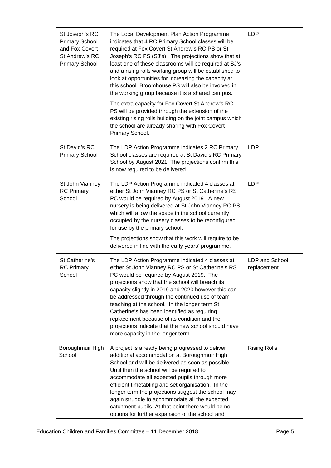| St Joseph's RC<br><b>Primary School</b><br>and Fox Covert<br>St Andrew's RC<br><b>Primary School</b> | The Local Development Plan Action Programme<br>indicates that 4 RC Primary School classes will be<br>required at Fox Covert St Andrew's RC PS or St<br>Joseph's RC PS (SJ's). The projections show that at<br>least one of these classrooms will be required at SJ's<br>and a rising rolls working group will be established to<br>look at opportunities for increasing the capacity at<br>this school. Broomhouse PS will also be involved in<br>the working group because it is a shared campus.<br>The extra capacity for Fox Covert St Andrew's RC<br>PS will be provided through the extension of the<br>existing rising rolls building on the joint campus which<br>the school are already sharing with Fox Covert<br>Primary School. | <b>LDP</b>                    |
|------------------------------------------------------------------------------------------------------|---------------------------------------------------------------------------------------------------------------------------------------------------------------------------------------------------------------------------------------------------------------------------------------------------------------------------------------------------------------------------------------------------------------------------------------------------------------------------------------------------------------------------------------------------------------------------------------------------------------------------------------------------------------------------------------------------------------------------------------------|-------------------------------|
| St David's RC<br><b>Primary School</b>                                                               | The LDP Action Programme indicates 2 RC Primary<br>School classes are required at St David's RC Primary<br>School by August 2021. The projections confirm this<br>is now required to be delivered.                                                                                                                                                                                                                                                                                                                                                                                                                                                                                                                                          | <b>LDP</b>                    |
| St John Vianney<br><b>RC Primary</b><br>School                                                       | The LDP Action Programme indicated 4 classes at<br>either St John Vianney RC PS or St Catherine's RS<br>PC would be required by August 2019. A new<br>nursery is being delivered at St John Vianney RC PS<br>which will allow the space in the school currently<br>occupied by the nursery classes to be reconfigured<br>for use by the primary school.<br>The projections show that this work will require to be<br>delivered in line with the early years' programme.                                                                                                                                                                                                                                                                     | <b>LDP</b>                    |
| St Catherine's<br><b>RC Primary</b><br>School                                                        | The LDP Action Programme indicated 4 classes at<br>either St John Vianney RC PS or St Catherine's RS<br>PC would be required by August 2019. The<br>projections show that the school will breach its<br>capacity slightly in 2019 and 2020 however this can<br>be addressed through the continued use of team<br>teaching at the school. In the longer term St<br>Catherine's has been identified as requiring<br>replacement because of its condition and the<br>projections indicate that the new school should have<br>more capacity in the longer term.                                                                                                                                                                                 | LDP and School<br>replacement |
| Boroughmuir High<br>School                                                                           | A project is already being progressed to deliver<br>additional accommodation at Boroughmuir High<br>School and will be delivered as soon as possible.<br>Until then the school will be required to<br>accommodate all expected pupils through more<br>efficient timetabling and set organisation. In the<br>longer term the projections suggest the school may<br>again struggle to accommodate all the expected<br>catchment pupils. At that point there would be no<br>options for further expansion of the school and                                                                                                                                                                                                                    | <b>Rising Rolls</b>           |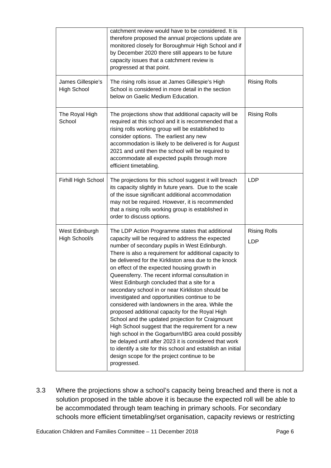|                                         | catchment review would have to be considered. It is<br>therefore proposed the annual projections update are<br>monitored closely for Boroughmuir High School and if<br>by December 2020 there still appears to be future<br>capacity issues that a catchment review is<br>progressed at that point.                                                                                                                                                                                                                                                                                                                                                                                                                                                                                                                                                                                                                                                                                             |                                   |
|-----------------------------------------|-------------------------------------------------------------------------------------------------------------------------------------------------------------------------------------------------------------------------------------------------------------------------------------------------------------------------------------------------------------------------------------------------------------------------------------------------------------------------------------------------------------------------------------------------------------------------------------------------------------------------------------------------------------------------------------------------------------------------------------------------------------------------------------------------------------------------------------------------------------------------------------------------------------------------------------------------------------------------------------------------|-----------------------------------|
| James Gillespie's<br><b>High School</b> | The rising rolls issue at James Gillespie's High<br>School is considered in more detail in the section<br>below on Gaelic Medium Education.                                                                                                                                                                                                                                                                                                                                                                                                                                                                                                                                                                                                                                                                                                                                                                                                                                                     | <b>Rising Rolls</b>               |
| The Royal High<br>School                | The projections show that additional capacity will be<br>required at this school and it is recommended that a<br>rising rolls working group will be established to<br>consider options. The earliest any new<br>accommodation is likely to be delivered is for August<br>2021 and until then the school will be required to<br>accommodate all expected pupils through more<br>efficient timetabling.                                                                                                                                                                                                                                                                                                                                                                                                                                                                                                                                                                                           | <b>Rising Rolls</b>               |
| Firhill High School                     | The projections for this school suggest it will breach<br>its capacity slightly in future years. Due to the scale<br>of the issue significant additional accommodation<br>may not be required. However, it is recommended<br>that a rising rolls working group is established in<br>order to discuss options.                                                                                                                                                                                                                                                                                                                                                                                                                                                                                                                                                                                                                                                                                   | <b>LDP</b>                        |
| West Edinburgh<br>High School/s         | The LDP Action Programme states that additional<br>capacity will be required to address the expected<br>number of secondary pupils in West Edinburgh.<br>There is also a requirement for additional capacity to<br>be delivered for the Kirkliston area due to the knock<br>on effect of the expected housing growth in<br>Queensferry. The recent informal consultation in<br>West Edinburgh concluded that a site for a<br>secondary school in or near Kirkliston should be<br>investigated and opportunities continue to be<br>considered with landowners in the area. While the<br>proposed additional capacity for the Royal High<br>School and the updated projection for Craigmount<br>High School suggest that the requirement for a new<br>high school in the Gogarburn/IBG area could possibly<br>be delayed until after 2023 it is considered that work<br>to identify a site for this school and establish an initial<br>design scope for the project continue to be<br>progressed. | <b>Rising Rolls</b><br><b>LDP</b> |

3.3 Where the projections show a school's capacity being breached and there is not a solution proposed in the table above it is because the expected roll will be able to be accommodated through team teaching in primary schools. For secondary schools more efficient timetabling/set organisation, capacity reviews or restricting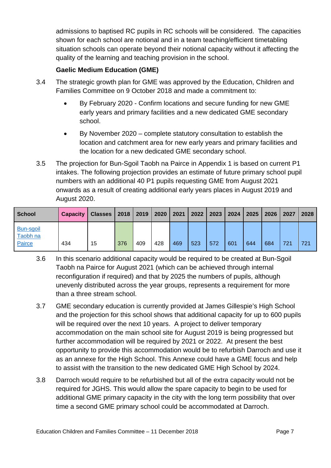admissions to baptised RC pupils in RC schools will be considered. The capacities shown for each school are notional and in a team teaching/efficient timetabling situation schools can operate beyond their notional capacity without it affecting the quality of the learning and teaching provision in the school.

#### **Gaelic Medium Education (GME)**

- 3.4 The strategic growth plan for GME was approved by the Education, Children and Families Committee on 9 October 2018 and made a commitment to:
	- By February 2020 Confirm locations and secure funding for new GME early years and primary facilities and a new dedicated GME secondary school.
	- By November 2020 complete statutory consultation to establish the location and catchment area for new early years and primary facilities and the location for a new dedicated GME secondary school.
- 3.5 The projection for Bun-Sgoil Taobh na Pairce in Appendix 1 is based on current P1 intakes. The following projection provides an estimate of future primary school pupil numbers with an additional 40 P1 pupils requesting GME from August 2021 onwards as a result of creating additional early years places in August 2019 and August 2020.

| <b>School</b>                   | <b>Capacity</b> | <b>Classes   2018  </b> |     | 2019 | 2020 | 2021 | 2022 | 2023 | 2024 | 2025 | 2026 | 2027 | 2028 |
|---------------------------------|-----------------|-------------------------|-----|------|------|------|------|------|------|------|------|------|------|
| Bun-sgoil<br>Taobh na<br>Pairce | 434             | 15                      | 376 | 409  | 428  | 469  | 523  | 572  | 601  | 644  | 684  | 721  | 721  |

- 3.6 In this scenario additional capacity would be required to be created at Bun-Sgoil Taobh na Pairce for August 2021 (which can be achieved through internal reconfiguration if required) and that by 2025 the numbers of pupils, although unevenly distributed across the year groups, represents a requirement for more than a three stream school.
- 3.7 GME secondary education is currently provided at James Gillespie's High School and the projection for this school shows that additional capacity for up to 600 pupils will be required over the next 10 years. A project to deliver temporary accommodation on the main school site for August 2019 is being progressed but further accommodation will be required by 2021 or 2022. At present the best opportunity to provide this accommodation would be to refurbish Darroch and use it as an annexe for the High School. This Annexe could have a GME focus and help to assist with the transition to the new dedicated GME High School by 2024.
- 3.8 Darroch would require to be refurbished but all of the extra capacity would not be required for JGHS. This would allow the spare capacity to begin to be used for additional GME primary capacity in the city with the long term possibility that over time a second GME primary school could be accommodated at Darroch.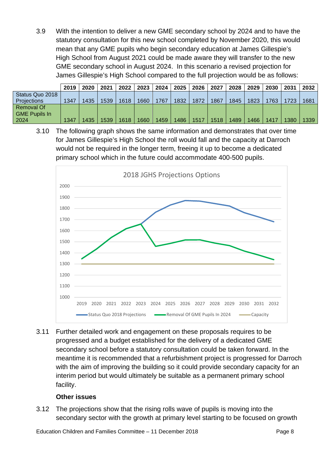3.9 With the intention to deliver a new GME secondary school by 2024 and to have the statutory consultation for this new school completed by November 2020, this would mean that any GME pupils who begin secondary education at James Gillespie's High School from August 2021 could be made aware they will transfer to the new GME secondary school in August 2024. In this scenario a revised projection for James Gillespie's High School compared to the full projection would be as follows:

|                      | 2019 | 2020 | 2021 | 2022 | 2023 | <b>2024</b> | 2025 | 2026 | 2027 | 2028 l | 2029 | 2030 | 2031 | 2032 |
|----------------------|------|------|------|------|------|-------------|------|------|------|--------|------|------|------|------|
| Status Quo 2018      |      |      |      |      |      |             |      |      |      |        |      |      |      |      |
| <b>Projections</b>   | 1347 | 1435 | 1539 | 1618 | 1660 | 1767        | 1832 | 1872 | 1867 | 1845   | 1823 | 1763 | 1723 | 1681 |
| <b>Removal Of</b>    |      |      |      |      |      |             |      |      |      |        |      |      |      |      |
| <b>GME Pupils In</b> |      |      |      |      |      |             |      |      |      |        |      |      |      |      |
| 2024                 | 1347 | 1435 | 1539 | 1618 | 1660 | 1459        | 1486 | 1517 | 1518 | 1489   | 1466 | 1417 | 1380 | 1339 |

3.10 The following graph shows the same information and demonstrates that over time for James Gillespie's High School the roll would fall and the capacity at Darroch would not be required in the longer term, freeing it up to become a dedicated primary school which in the future could accommodate 400-500 pupils.



3.11 Further detailed work and engagement on these proposals requires to be progressed and a budget established for the delivery of a dedicated GME secondary school before a statutory consultation could be taken forward. In the meantime it is recommended that a refurbishment project is progressed for Darroch with the aim of improving the building so it could provide secondary capacity for an interim period but would ultimately be suitable as a permanent primary school facility.

#### **Other issues**

3.12 The projections show that the rising rolls wave of pupils is moving into the secondary sector with the growth at primary level starting to be focused on growth

Education Children and Families Committee – 11 December 2018 **Page 8** Page 8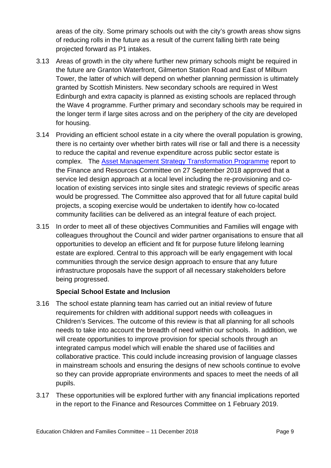areas of the city. Some primary schools out with the city's growth areas show signs of reducing rolls in the future as a result of the current falling birth rate being projected forward as P1 intakes.

- 3.13 Areas of growth in the city where further new primary schools might be required in the future are Granton Waterfront, Gilmerton Station Road and East of Milburn Tower, the latter of which will depend on whether planning permission is ultimately granted by Scottish Ministers. New secondary schools are required in West Edinburgh and extra capacity is planned as existing schools are replaced through the Wave 4 programme. Further primary and secondary schools may be required in the longer term if large sites across and on the periphery of the city are developed for housing.
- 3.14 Providing an efficient school estate in a city where the overall population is growing, there is no certainty over whether birth rates will rise or fall and there is a necessity to reduce the capital and revenue expenditure across public sector estate is complex. The Asset Management Strategy Transformation Programme report to the Finance and Resources Committee on 27 September 2018 approved that a service led design approach at a local level including the re-provisioning and colocation of existing services into single sites and strategic reviews of specific areas would be progressed. The Committee also approved that for all future capital build projects, a scoping exercise would be undertaken to identify how co-located community facilities can be delivered as an integral feature of each project.
- 3.15 In order to meet all of these objectives Communities and Families will engage with colleagues throughout the Council and wider partner organisations to ensure that all opportunities to develop an efficient and fit for purpose future lifelong learning estate are explored. Central to this approach will be early engagement with local communities through the service design approach to ensure that any future infrastructure proposals have the support of all necessary stakeholders before being progressed.

#### **Special School Estate and Inclusion**

- 3.16 The school estate planning team has carried out an initial review of future requirements for children with additional support needs with colleagues in Children's Services. The outcome of this review is that all planning for all schools needs to take into account the breadth of need within our schools. In addition, we will create opportunities to improve provision for special schools through an integrated campus model which will enable the shared use of facilities and collaborative practice. This could include increasing provision of language classes in mainstream schools and ensuring the designs of new schools continue to evolve so they can provide appropriate environments and spaces to meet the needs of all pupils.
- 3.17 These opportunities will be explored further with any financial implications reported in the report to the Finance and Resources Committee on 1 February 2019.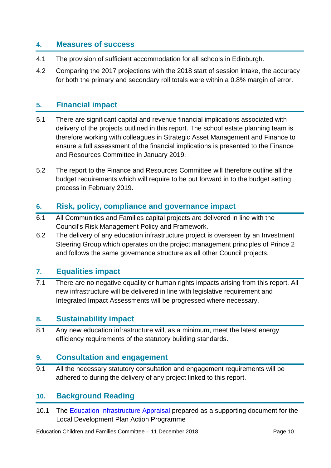#### **4. Measures of success**

- 4.1 The provision of sufficient accommodation for all schools in Edinburgh.
- 4.2 Comparing the 2017 projections with the 2018 start of session intake, the accuracy for both the primary and secondary roll totals were within a 0.8% margin of error.

#### **5. Financial impact**

- 5.1 There are significant capital and revenue financial implications associated with delivery of the projects outlined in this report. The school estate planning team is therefore working with colleagues in Strategic Asset Management and Finance to ensure a full assessment of the financial implications is presented to the Finance and Resources Committee in January 2019.
- 5.2 The report to the Finance and Resources Committee will therefore outline all the budget requirements which will require to be put forward in to the budget setting process in February 2019.

#### **6. Risk, policy, compliance and governance impact**

- 6.1 All Communities and Families capital projects are delivered in line with the Council's Risk Management Policy and Framework.
- 6.2 The delivery of any education infrastructure project is overseen by an Investment Steering Group which operates on the project management principles of Prince 2 and follows the same governance structure as all other Council projects.

#### **7. Equalities impact**

7.1 There are no negative equality or human rights impacts arising from this report. All new infrastructure will be delivered in line with legislative requirement and Integrated Impact Assessments will be progressed where necessary.

#### **8. Sustainability impact**

8.1 Any new education infrastructure will, as a minimum, meet the latest energy efficiency requirements of the statutory building standards.

#### **9. Consultation and engagement**

9.1 All the necessary statutory consultation and engagement requirements will be adhered to during the delivery of any project linked to this report.

#### **10. Background Reading**

10.1 The Education Infrastructure Appraisal prepared as a supporting document for the Local Development Plan Action Programme

Education Children and Families Committee – 11 December 2018 **Page 10** Page 10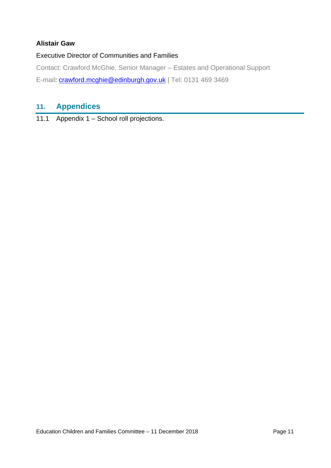#### **Alistair Gaw**

#### Executive Director of Communities and Families

Contact: Crawford McGhie, Senior Manager – Estates and Operational Support E-mail: crawford.mcghie@edinburgh.gov.uk | Tel: 0131 469 3469

## **11. Appendices**

11.1 Appendix 1 – School roll projections.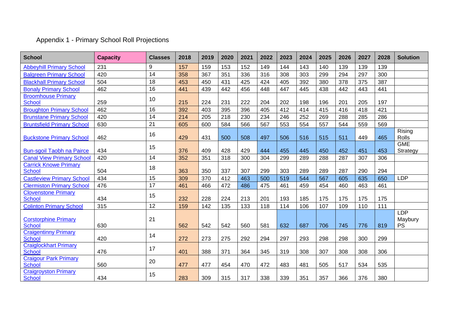## Appendix 1 - Primary School Roll Projections

| <b>School</b>                                 | <b>Capacity</b> | <b>Classes</b> | 2018 | 2019 | 2020 | 2021 | 2022 | 2023 | 2024 | 2025 | 2026 | 2027 | 2028 | <b>Solution</b>                    |
|-----------------------------------------------|-----------------|----------------|------|------|------|------|------|------|------|------|------|------|------|------------------------------------|
| <b>Abbeyhill Primary School</b>               | 231             | 9              | 157  | 159  | 153  | 152  | 149  | 144  | 143  | 140  | 139  | 139  | 139  |                                    |
| <b>Balgreen Primary School</b>                | 420             | 14             | 358  | 367  | 351  | 336  | 316  | 308  | 303  | 299  | 294  | 297  | 300  |                                    |
| <b>Blackhall Primary School</b>               | 504             | 18             | 453  | 450  | 431  | 425  | 424  | 405  | 392  | 380  | 378  | 375  | 387  |                                    |
| <b>Bonaly Primary School</b>                  | 462             | 16             | 441  | 439  | 442  | 456  | 448  | 447  | 445  | 438  | 442  | 443  | 441  |                                    |
| <b>Broomhouse Primary</b><br><b>School</b>    | 259             | 10             | 215  | 224  | 231  | 222  | 204  | 202  | 198  | 196  | 201  | 205  | 197  |                                    |
| <b>Broughton Primary School</b>               | 462             | 16             | 392  | 403  | 395  | 396  | 405  | 412  | 414  | 415  | 416  | 418  | 421  |                                    |
| <b>Brunstane Primary School</b>               | 420             | 14             | 214  | 205  | 218  | 230  | 234  | 246  | 252  | 269  | 288  | 285  | 286  |                                    |
| <b>Bruntsfield Primary School</b>             | 630             | 21             | 605  | 600  | 584  | 566  | 567  | 553  | 554  | 557  | 544  | 559  | 569  |                                    |
| <b>Buckstone Primary School</b>               | 462             | 16             | 429  | 431  | 500  | 508  | 497  | 506  | 516  | 515  | 511  | 449  | 465  | Rising<br>Rolls                    |
| <b>Bun-sgoil Taobh na Pairce</b>              | 434             | 15             | 376  | 409  | 428  | 429  | 444  | 455  | 445  | 450  | 452  | 451  | 453  | <b>GME</b><br>Strategy             |
| <b>Canal View Primary School</b>              | 420             | 14             | 352  | 351  | 318  | 300  | 304  | 299  | 289  | 288  | 287  | 307  | 306  |                                    |
| <b>Carrick Knowe Primary</b><br><b>School</b> | 504             | 18             | 363  | 350  | 337  | 307  | 299  | 303  | 289  | 289  | 287  | 290  | 294  |                                    |
| <b>Castleview Primary School</b>              | 434             | 15             | 309  | 370  | 412  | 463  | 500  | 519  | 544  | 567  | 605  | 635  | 650  | <b>LDP</b>                         |
| <b>Clermiston Primary School</b>              | 476             | 17             | 461  | 466  | 472  | 486  | 475  | 461  | 459  | 454  | 460  | 463  | 461  |                                    |
| <b>Clovenstone Primary</b><br><b>School</b>   | 434             | 15             | 232  | 228  | 224  | 213  | 201  | 193  | 185  | 175  | 175  | 175  | 175  |                                    |
| <b>Colinton Primary School</b>                | 315             | 12             | 159  | 142  | 135  | 133  | 118  | 114  | 106  | 107  | 109  | 110  | 111  |                                    |
| <b>Corstorphine Primary</b><br><b>School</b>  | 630             | 21             | 562  | 542  | 542  | 560  | 581  | 632  | 687  | 706  | 745  | 776  | 819  | <b>LDP</b><br>Maybury<br><b>PS</b> |
| <b>Craigentinny Primary</b><br>School         | 420             | 14             | 272  | 273  | 275  | 292  | 294  | 297  | 293  | 298  | 298  | 300  | 299  |                                    |
| <b>Craiglockhart Primary</b><br><b>School</b> | 476             | 17             | 401  | 388  | 371  | 364  | 345  | 319  | 308  | 307  | 308  | 308  | 306  |                                    |
| <b>Craigour Park Primary</b><br><b>School</b> | 560             | 20             | 477  | 477  | 454  | 470  | 472  | 483  | 481  | 505  | 517  | 534  | 535  |                                    |
| <b>Craigroyston Primary</b><br><b>School</b>  | 434             | 15             | 283  | 309  | 315  | 317  | 338  | 339  | 351  | 357  | 366  | 376  | 380  |                                    |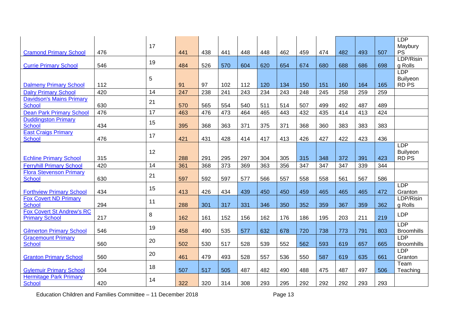|                                  |     |    |     |     |     |     |     |     |     |     |     |     |     | <b>LDP</b>        |
|----------------------------------|-----|----|-----|-----|-----|-----|-----|-----|-----|-----|-----|-----|-----|-------------------|
|                                  |     | 17 |     |     |     |     |     |     |     |     |     |     |     | Maybury           |
| <b>Cramond Primary School</b>    | 476 |    | 441 | 438 | 441 | 448 | 448 | 462 | 459 | 474 | 482 | 493 | 507 | <b>PS</b>         |
|                                  |     | 19 |     |     |     |     |     |     |     |     |     |     |     | LDP/Risin         |
| <b>Currie Primary School</b>     | 546 |    | 484 | 526 | 570 | 604 | 620 | 654 | 674 | 680 | 688 | 686 | 698 | g Rolls           |
|                                  |     |    |     |     |     |     |     |     |     |     |     |     |     | <b>LDP</b>        |
|                                  |     | 5  |     |     |     |     |     |     |     |     |     |     |     | Builyeon          |
| <b>Dalmeny Primary School</b>    | 112 |    | 91  | 97  | 102 | 112 | 120 | 134 | 150 | 151 | 160 | 164 | 165 | <b>RDPS</b>       |
| <b>Dalry Primary School</b>      | 420 | 14 | 247 | 238 | 241 | 243 | 234 | 243 | 248 | 245 | 258 | 259 | 259 |                   |
| <b>Davidson's Mains Primary</b>  |     | 21 |     |     |     |     |     |     |     |     |     |     |     |                   |
| <b>School</b>                    | 630 |    | 570 | 565 | 554 | 540 | 511 | 514 | 507 | 499 | 492 | 487 | 489 |                   |
| <b>Dean Park Primary School</b>  | 476 | 17 | 463 | 476 | 473 | 464 | 465 | 443 | 432 | 435 | 414 | 413 | 424 |                   |
| <b>Duddingston Primary</b>       |     | 15 |     |     |     |     |     |     |     |     |     |     |     |                   |
| School                           | 434 |    | 395 | 368 | 363 | 371 | 375 | 371 | 368 | 360 | 383 | 383 | 383 |                   |
| <b>East Craigs Primary</b>       |     | 17 |     |     |     |     |     |     |     |     |     |     |     |                   |
| <b>School</b>                    | 476 |    | 421 | 431 | 428 | 414 | 417 | 413 | 426 | 427 | 422 | 423 | 436 |                   |
|                                  |     |    |     |     |     |     |     |     |     |     |     |     |     | <b>LDP</b>        |
|                                  |     | 12 |     |     |     |     |     |     |     |     |     |     |     | Builyeon          |
| <b>Echline Primary School</b>    | 315 |    | 288 | 291 | 295 | 297 | 304 | 305 | 315 | 348 | 372 | 391 | 423 | <b>RDPS</b>       |
| <b>Ferryhill Primary School</b>  | 420 | 14 | 361 | 368 | 373 | 369 | 363 | 356 | 347 | 347 | 347 | 339 | 344 |                   |
| <b>Flora Stevenson Primary</b>   |     | 21 |     |     |     |     |     |     |     |     |     |     |     |                   |
| <b>School</b>                    | 630 |    | 597 | 592 | 597 | 577 | 566 | 557 | 558 | 558 | 561 | 567 | 586 |                   |
|                                  |     | 15 |     |     |     |     |     |     |     |     |     |     |     | <b>LDP</b>        |
| <b>Forthview Primary School</b>  | 434 |    | 413 | 426 | 434 | 439 | 450 | 450 | 459 | 465 | 465 | 465 | 472 | Granton           |
| <b>Fox Covert ND Primary</b>     |     | 11 |     |     |     |     |     |     |     |     |     |     |     | LDP/Risin         |
| <b>School</b>                    | 294 |    | 288 | 301 | 317 | 331 | 346 | 350 | 352 | 359 | 367 | 359 | 362 | g Rolls           |
| <b>Fox Covert St Andrew's RC</b> |     | 8  |     |     |     |     |     |     |     |     |     |     |     | <b>LDP</b>        |
| <b>Primary School</b>            | 217 |    | 162 | 161 | 152 | 156 | 162 | 176 | 186 | 195 | 203 | 211 | 219 | <b>LDP</b>        |
| <b>Gilmerton Primary School</b>  | 546 | 19 | 458 | 490 | 535 | 577 | 632 | 678 | 720 | 738 | 773 | 791 | 803 | <b>Broomhills</b> |
| <b>Gracemount Primary</b>        |     |    |     |     |     |     |     |     |     |     |     |     |     | <b>LDP</b>        |
| <b>School</b>                    | 560 | 20 | 502 | 530 | 517 | 528 | 539 | 552 | 562 | 593 | 619 | 657 | 665 | <b>Broomhills</b> |
|                                  |     |    |     |     |     |     |     |     |     |     |     |     |     | LDP               |
| <b>Granton Primary School</b>    | 560 | 20 | 461 | 479 | 493 | 528 | 557 | 536 | 550 | 587 | 619 | 635 | 661 | Granton           |
|                                  |     |    |     |     |     |     |     |     |     |     |     |     |     | Team              |
| <b>Gylemuir Primary School</b>   | 504 | 18 | 507 | 517 | 505 | 487 | 482 | 490 | 488 | 475 | 487 | 497 | 506 | Teaching          |
| <b>Hermitage Park Primary</b>    |     |    |     |     |     |     |     |     |     |     |     |     |     |                   |
| <b>School</b>                    | 420 | 14 | 322 | 320 | 314 | 308 | 293 | 295 | 292 | 292 | 292 | 293 | 293 |                   |
|                                  |     |    |     |     |     |     |     |     |     |     |     |     |     |                   |

Education Children and Families Committee – 11 December 2018 **Page 13**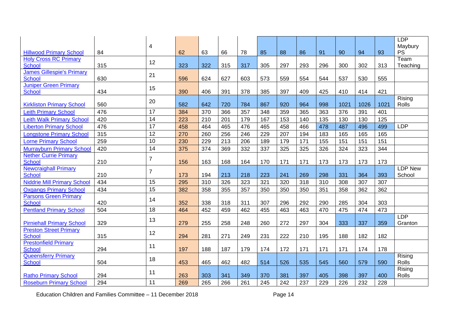|                                               |     | 4               |     |     |     |     |     |     |     |     |      |      |      | <b>LDP</b><br>Maybury |
|-----------------------------------------------|-----|-----------------|-----|-----|-----|-----|-----|-----|-----|-----|------|------|------|-----------------------|
| <b>Hillwood Primary School</b>                | 84  |                 | 62  | 63  | 66  | 78  | 85  | 88  | 86  | 91  | 90   | 94   | 93   | <b>PS</b>             |
| <b>Holy Cross RC Primary</b>                  |     | 12              |     |     |     |     |     |     |     |     |      |      |      | Team                  |
| School                                        | 315 |                 | 323 | 322 | 315 | 317 | 305 | 297 | 293 | 296 | 300  | 302  | 313  | Teaching              |
| <b>James Gillespie's Primary</b>              |     | 21              |     |     |     |     |     |     |     |     |      |      |      |                       |
| School                                        | 630 |                 | 596 | 624 | 627 | 603 | 573 | 559 | 554 | 544 | 537  | 530  | 555  |                       |
| <b>Juniper Green Primary</b><br>School        | 434 | 15              | 390 | 406 | 391 | 378 | 385 | 397 | 409 | 425 | 410  | 414  | 421  |                       |
| <b>Kirkliston Primary School</b>              | 560 | 20              | 582 | 642 | 720 | 784 | 867 | 920 | 964 | 998 | 1021 | 1026 | 1021 | Rising<br>Rolls       |
| <b>Leith Primary School</b>                   | 476 | 17              | 384 | 370 | 366 | 357 | 348 | 359 | 365 | 363 | 376  | 391  | 401  |                       |
| <b>Leith Walk Primary School</b>              | 420 | 14              | 223 | 210 | 201 | 179 | 167 | 153 | 140 | 135 | 130  | 130  | 125  |                       |
| <b>Liberton Primary School</b>                | 476 | $\overline{17}$ | 458 | 464 | 465 | 476 | 465 | 458 | 466 | 478 | 487  | 496  | 499  | <b>LDP</b>            |
| <b>Longstone Primary School</b>               | 315 | 12              | 270 | 260 | 256 | 246 | 229 | 207 | 194 | 183 | 165  | 165  | 165  |                       |
| <b>Lorne Primary School</b>                   | 259 | 10              | 230 | 229 | 213 | 206 | 189 | 179 | 171 | 155 | 151  | 151  | 151  |                       |
| <b>Murrayburn Primary School</b>              | 420 | 14              | 375 | 374 | 369 | 332 | 337 | 325 | 325 | 326 | 324  | 323  | 344  |                       |
| <b>Nether Currie Primary</b>                  |     | $\overline{7}$  |     |     |     |     |     |     |     |     |      |      |      |                       |
| School<br><b>Newcraighall Primary</b>         | 210 |                 | 156 | 163 | 168 | 164 | 170 | 171 | 171 | 173 | 173  | 173  | 173  | <b>LDP New</b>        |
| <b>School</b>                                 | 210 | $\overline{7}$  | 173 | 194 | 213 | 218 | 223 | 241 | 269 | 298 | 331  | 364  | 393  | School                |
| <b>Niddrie Mill Primary School</b>            | 434 | 15              | 295 | 310 | 326 | 323 | 321 | 320 | 318 | 310 | 308  | 307  | 307  |                       |
| <b>Oxgangs Primary School</b>                 | 434 | 15              | 382 | 358 | 355 | 357 | 350 | 350 | 350 | 351 | 358  | 362  | 362  |                       |
| <b>Parsons Green Primary</b><br><b>School</b> | 420 | 14              | 352 | 338 | 318 | 311 | 307 | 296 | 292 | 290 | 285  | 304  | 303  |                       |
| <b>Pentland Primary School</b>                | 504 | 18              | 464 | 452 | 459 | 462 | 455 | 463 | 463 | 470 | 475  | 474  | 473  |                       |
|                                               |     | 13              |     |     |     |     |     |     |     |     |      |      |      | <b>LDP</b>            |
| <b>Pirniehall Primary School</b>              | 329 |                 | 279 | 255 | 258 | 248 | 260 | 272 | 297 | 304 | 333  | 337  | 359  | Granton               |
| <b>Preston Street Primary</b>                 |     | 12              |     |     |     |     |     |     |     |     |      |      |      |                       |
| <b>School</b><br><b>Prestonfield Primary</b>  | 315 |                 | 294 | 281 | 271 | 249 | 231 | 222 | 210 | 195 | 188  | 182  | 182  |                       |
| School                                        | 294 | 11              | 197 | 188 | 187 | 179 | 174 | 172 | 171 | 171 | 171  | 174  | 178  |                       |
| <b>Queensferry Primary</b><br><b>School</b>   | 504 | 18              | 453 | 465 | 462 | 482 | 514 | 526 | 535 | 545 | 560  | 579  | 590  | Rising<br>Rolls       |
|                                               |     | 11              |     |     |     |     |     |     |     |     |      |      |      | Rising                |
| <b>Ratho Primary School</b>                   | 294 |                 | 263 | 303 | 341 | 349 | 370 | 381 | 397 | 405 | 398  | 397  | 400  | Rolls                 |
| <b>Roseburn Primary School</b>                | 294 | 11              | 269 | 265 | 266 | 261 | 245 | 242 | 237 | 229 | 226  | 232  | 228  |                       |

Education Children and Families Committee – 11 December 2018 **Page 14**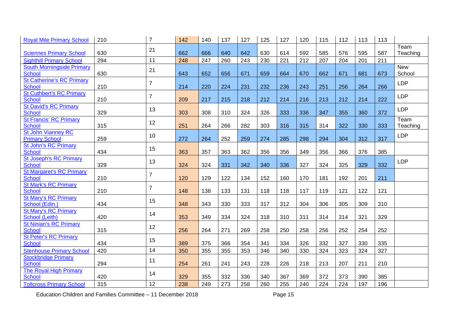| Team<br>21<br>630<br>666<br>642<br>630<br>592<br>585<br>595<br>587<br>Teaching<br>662<br>640<br>614<br>576<br><b>Sciennes Primary School</b><br>11<br>248<br>212<br>294<br>260<br>230<br>221<br>207<br>201<br>211<br><b>Sighthill Primary School</b><br>247<br>243<br>204<br><b>New</b><br><b>South Morningside Primary</b><br>21<br><b>School</b><br>School<br>630<br>643<br>652<br>656<br>671<br>659<br>664<br>670<br>662<br>671<br>681<br>673<br><b>St Catherine's RC Primary</b><br>$\overline{7}$<br><b>LDP</b><br><b>School</b><br>210<br>214<br>220<br>224<br>231<br>232<br>236<br>243<br>251<br>264<br>266<br>256<br><b>St Cuthbert's RC Primary</b><br>$\overline{7}$<br><b>LDP</b><br><b>School</b><br>222<br>210<br>209<br>217<br>218<br>212<br>214<br>216<br>213<br>212<br>214<br>215<br><b>St David's RC Primary</b><br><b>LDP</b><br>13<br><b>School</b><br>329<br>303<br>326<br>333<br>336<br>355<br>372<br>308<br>310<br>324<br>347<br>360<br><b>St Francis' RC Primary</b><br>Team<br>12<br>School<br>315<br>251<br>264<br>266<br>282<br>303<br>316<br>315<br>322<br>330<br>333<br>Teaching<br>314<br><b>St John Vianney RC</b><br><b>LDP</b><br>10<br><b>Primary School</b><br>259<br>312<br>317<br>272<br>264<br>252<br>259<br>274<br>285<br>298<br>294<br>304<br><b>St John's RC Primary</b><br>15<br><b>School</b><br>434<br>349<br>363<br>357<br>363<br>362<br>356<br>356<br>356<br>376<br>385<br>366<br><b>St Joseph's RC Primary</b><br><b>LDP</b><br>13<br><b>School</b><br>327<br>332<br>329<br>324<br>324<br>331<br>342<br>336<br>325<br>329<br>340<br>324<br><b>St Margaret's RC Primary</b><br>$\overline{7}$<br><b>School</b><br>210<br>129<br>160<br>170<br>211<br>120<br>122<br>134<br>152<br>181<br>192<br>201<br><b>St Mark's RC Primary</b><br>$\overline{7}$<br><b>School</b><br>210<br>117<br>148<br>138<br>133<br>131<br>118<br>118<br>119<br>121<br>122<br>121<br><b>St Mary's RC Primary</b><br>15<br>School (Edin.)<br>434<br>343<br>312<br>304<br>348<br>330<br>333<br>317<br>306<br>305<br>309<br>310<br><b>St Mary's RC Primary</b><br>14<br>353<br>School (Leith)<br>420<br>349<br>324<br>318<br>321<br>329<br>334<br>310<br>311<br>314<br>314<br><b>St Ninian's RC Primary</b><br>12<br><b>School</b><br>315<br>256<br>250<br>252<br>264<br>271<br>269<br>258<br>258<br>256<br>252<br>254<br><b>St Peter's RC Primary</b><br>15<br><b>School</b><br>434<br>389<br>375<br>341<br>334<br>326<br>332<br>330<br>366<br>354<br>327<br>335<br>14<br>340<br>323<br>327<br><b>Stenhouse Primary School</b><br>420<br>350<br>355<br>355<br>353<br>346<br>330<br>324<br>324<br><b>Stockbridge Primary</b><br>11<br><b>School</b><br>294<br>254<br>261<br>228<br>226<br>218<br>213<br>207<br>211<br>210<br>241<br>243<br><b>The Royal High Primary</b><br>14<br>School<br>420<br>329<br>340<br>367<br>369<br>372<br>385<br>355<br>332<br>336<br>373<br>390 | <b>Royal Mile Primary School</b> | 210 | $\overline{7}$ | 142 | 140 | 137 | 127 | 125 | 127 | 120 | 115 | 112 | 113 | 113 |  |
|-----------------------------------------------------------------------------------------------------------------------------------------------------------------------------------------------------------------------------------------------------------------------------------------------------------------------------------------------------------------------------------------------------------------------------------------------------------------------------------------------------------------------------------------------------------------------------------------------------------------------------------------------------------------------------------------------------------------------------------------------------------------------------------------------------------------------------------------------------------------------------------------------------------------------------------------------------------------------------------------------------------------------------------------------------------------------------------------------------------------------------------------------------------------------------------------------------------------------------------------------------------------------------------------------------------------------------------------------------------------------------------------------------------------------------------------------------------------------------------------------------------------------------------------------------------------------------------------------------------------------------------------------------------------------------------------------------------------------------------------------------------------------------------------------------------------------------------------------------------------------------------------------------------------------------------------------------------------------------------------------------------------------------------------------------------------------------------------------------------------------------------------------------------------------------------------------------------------------------------------------------------------------------------------------------------------------------------------------------------------------------------------------------------------------------------------------------------------------------------------------------------------------------------------------------------------------------------------------------------------------------------------------------------------------------------------------------------------------------------------------------------------------------------------------------------------------------------------------------------------------------------------------|----------------------------------|-----|----------------|-----|-----|-----|-----|-----|-----|-----|-----|-----|-----|-----|--|
|                                                                                                                                                                                                                                                                                                                                                                                                                                                                                                                                                                                                                                                                                                                                                                                                                                                                                                                                                                                                                                                                                                                                                                                                                                                                                                                                                                                                                                                                                                                                                                                                                                                                                                                                                                                                                                                                                                                                                                                                                                                                                                                                                                                                                                                                                                                                                                                                                                                                                                                                                                                                                                                                                                                                                                                                                                                                                               |                                  |     |                |     |     |     |     |     |     |     |     |     |     |     |  |
|                                                                                                                                                                                                                                                                                                                                                                                                                                                                                                                                                                                                                                                                                                                                                                                                                                                                                                                                                                                                                                                                                                                                                                                                                                                                                                                                                                                                                                                                                                                                                                                                                                                                                                                                                                                                                                                                                                                                                                                                                                                                                                                                                                                                                                                                                                                                                                                                                                                                                                                                                                                                                                                                                                                                                                                                                                                                                               |                                  |     |                |     |     |     |     |     |     |     |     |     |     |     |  |
|                                                                                                                                                                                                                                                                                                                                                                                                                                                                                                                                                                                                                                                                                                                                                                                                                                                                                                                                                                                                                                                                                                                                                                                                                                                                                                                                                                                                                                                                                                                                                                                                                                                                                                                                                                                                                                                                                                                                                                                                                                                                                                                                                                                                                                                                                                                                                                                                                                                                                                                                                                                                                                                                                                                                                                                                                                                                                               |                                  |     |                |     |     |     |     |     |     |     |     |     |     |     |  |
|                                                                                                                                                                                                                                                                                                                                                                                                                                                                                                                                                                                                                                                                                                                                                                                                                                                                                                                                                                                                                                                                                                                                                                                                                                                                                                                                                                                                                                                                                                                                                                                                                                                                                                                                                                                                                                                                                                                                                                                                                                                                                                                                                                                                                                                                                                                                                                                                                                                                                                                                                                                                                                                                                                                                                                                                                                                                                               |                                  |     |                |     |     |     |     |     |     |     |     |     |     |     |  |
|                                                                                                                                                                                                                                                                                                                                                                                                                                                                                                                                                                                                                                                                                                                                                                                                                                                                                                                                                                                                                                                                                                                                                                                                                                                                                                                                                                                                                                                                                                                                                                                                                                                                                                                                                                                                                                                                                                                                                                                                                                                                                                                                                                                                                                                                                                                                                                                                                                                                                                                                                                                                                                                                                                                                                                                                                                                                                               |                                  |     |                |     |     |     |     |     |     |     |     |     |     |     |  |
|                                                                                                                                                                                                                                                                                                                                                                                                                                                                                                                                                                                                                                                                                                                                                                                                                                                                                                                                                                                                                                                                                                                                                                                                                                                                                                                                                                                                                                                                                                                                                                                                                                                                                                                                                                                                                                                                                                                                                                                                                                                                                                                                                                                                                                                                                                                                                                                                                                                                                                                                                                                                                                                                                                                                                                                                                                                                                               |                                  |     |                |     |     |     |     |     |     |     |     |     |     |     |  |
|                                                                                                                                                                                                                                                                                                                                                                                                                                                                                                                                                                                                                                                                                                                                                                                                                                                                                                                                                                                                                                                                                                                                                                                                                                                                                                                                                                                                                                                                                                                                                                                                                                                                                                                                                                                                                                                                                                                                                                                                                                                                                                                                                                                                                                                                                                                                                                                                                                                                                                                                                                                                                                                                                                                                                                                                                                                                                               |                                  |     |                |     |     |     |     |     |     |     |     |     |     |     |  |
|                                                                                                                                                                                                                                                                                                                                                                                                                                                                                                                                                                                                                                                                                                                                                                                                                                                                                                                                                                                                                                                                                                                                                                                                                                                                                                                                                                                                                                                                                                                                                                                                                                                                                                                                                                                                                                                                                                                                                                                                                                                                                                                                                                                                                                                                                                                                                                                                                                                                                                                                                                                                                                                                                                                                                                                                                                                                                               |                                  |     |                |     |     |     |     |     |     |     |     |     |     |     |  |
|                                                                                                                                                                                                                                                                                                                                                                                                                                                                                                                                                                                                                                                                                                                                                                                                                                                                                                                                                                                                                                                                                                                                                                                                                                                                                                                                                                                                                                                                                                                                                                                                                                                                                                                                                                                                                                                                                                                                                                                                                                                                                                                                                                                                                                                                                                                                                                                                                                                                                                                                                                                                                                                                                                                                                                                                                                                                                               |                                  |     |                |     |     |     |     |     |     |     |     |     |     |     |  |
|                                                                                                                                                                                                                                                                                                                                                                                                                                                                                                                                                                                                                                                                                                                                                                                                                                                                                                                                                                                                                                                                                                                                                                                                                                                                                                                                                                                                                                                                                                                                                                                                                                                                                                                                                                                                                                                                                                                                                                                                                                                                                                                                                                                                                                                                                                                                                                                                                                                                                                                                                                                                                                                                                                                                                                                                                                                                                               |                                  |     |                |     |     |     |     |     |     |     |     |     |     |     |  |
|                                                                                                                                                                                                                                                                                                                                                                                                                                                                                                                                                                                                                                                                                                                                                                                                                                                                                                                                                                                                                                                                                                                                                                                                                                                                                                                                                                                                                                                                                                                                                                                                                                                                                                                                                                                                                                                                                                                                                                                                                                                                                                                                                                                                                                                                                                                                                                                                                                                                                                                                                                                                                                                                                                                                                                                                                                                                                               |                                  |     |                |     |     |     |     |     |     |     |     |     |     |     |  |
|                                                                                                                                                                                                                                                                                                                                                                                                                                                                                                                                                                                                                                                                                                                                                                                                                                                                                                                                                                                                                                                                                                                                                                                                                                                                                                                                                                                                                                                                                                                                                                                                                                                                                                                                                                                                                                                                                                                                                                                                                                                                                                                                                                                                                                                                                                                                                                                                                                                                                                                                                                                                                                                                                                                                                                                                                                                                                               |                                  |     |                |     |     |     |     |     |     |     |     |     |     |     |  |
|                                                                                                                                                                                                                                                                                                                                                                                                                                                                                                                                                                                                                                                                                                                                                                                                                                                                                                                                                                                                                                                                                                                                                                                                                                                                                                                                                                                                                                                                                                                                                                                                                                                                                                                                                                                                                                                                                                                                                                                                                                                                                                                                                                                                                                                                                                                                                                                                                                                                                                                                                                                                                                                                                                                                                                                                                                                                                               |                                  |     |                |     |     |     |     |     |     |     |     |     |     |     |  |
|                                                                                                                                                                                                                                                                                                                                                                                                                                                                                                                                                                                                                                                                                                                                                                                                                                                                                                                                                                                                                                                                                                                                                                                                                                                                                                                                                                                                                                                                                                                                                                                                                                                                                                                                                                                                                                                                                                                                                                                                                                                                                                                                                                                                                                                                                                                                                                                                                                                                                                                                                                                                                                                                                                                                                                                                                                                                                               |                                  |     |                |     |     |     |     |     |     |     |     |     |     |     |  |
|                                                                                                                                                                                                                                                                                                                                                                                                                                                                                                                                                                                                                                                                                                                                                                                                                                                                                                                                                                                                                                                                                                                                                                                                                                                                                                                                                                                                                                                                                                                                                                                                                                                                                                                                                                                                                                                                                                                                                                                                                                                                                                                                                                                                                                                                                                                                                                                                                                                                                                                                                                                                                                                                                                                                                                                                                                                                                               |                                  |     |                |     |     |     |     |     |     |     |     |     |     |     |  |
|                                                                                                                                                                                                                                                                                                                                                                                                                                                                                                                                                                                                                                                                                                                                                                                                                                                                                                                                                                                                                                                                                                                                                                                                                                                                                                                                                                                                                                                                                                                                                                                                                                                                                                                                                                                                                                                                                                                                                                                                                                                                                                                                                                                                                                                                                                                                                                                                                                                                                                                                                                                                                                                                                                                                                                                                                                                                                               |                                  |     |                |     |     |     |     |     |     |     |     |     |     |     |  |
|                                                                                                                                                                                                                                                                                                                                                                                                                                                                                                                                                                                                                                                                                                                                                                                                                                                                                                                                                                                                                                                                                                                                                                                                                                                                                                                                                                                                                                                                                                                                                                                                                                                                                                                                                                                                                                                                                                                                                                                                                                                                                                                                                                                                                                                                                                                                                                                                                                                                                                                                                                                                                                                                                                                                                                                                                                                                                               |                                  |     |                |     |     |     |     |     |     |     |     |     |     |     |  |
|                                                                                                                                                                                                                                                                                                                                                                                                                                                                                                                                                                                                                                                                                                                                                                                                                                                                                                                                                                                                                                                                                                                                                                                                                                                                                                                                                                                                                                                                                                                                                                                                                                                                                                                                                                                                                                                                                                                                                                                                                                                                                                                                                                                                                                                                                                                                                                                                                                                                                                                                                                                                                                                                                                                                                                                                                                                                                               |                                  |     |                |     |     |     |     |     |     |     |     |     |     |     |  |
|                                                                                                                                                                                                                                                                                                                                                                                                                                                                                                                                                                                                                                                                                                                                                                                                                                                                                                                                                                                                                                                                                                                                                                                                                                                                                                                                                                                                                                                                                                                                                                                                                                                                                                                                                                                                                                                                                                                                                                                                                                                                                                                                                                                                                                                                                                                                                                                                                                                                                                                                                                                                                                                                                                                                                                                                                                                                                               |                                  |     |                |     |     |     |     |     |     |     |     |     |     |     |  |
|                                                                                                                                                                                                                                                                                                                                                                                                                                                                                                                                                                                                                                                                                                                                                                                                                                                                                                                                                                                                                                                                                                                                                                                                                                                                                                                                                                                                                                                                                                                                                                                                                                                                                                                                                                                                                                                                                                                                                                                                                                                                                                                                                                                                                                                                                                                                                                                                                                                                                                                                                                                                                                                                                                                                                                                                                                                                                               |                                  |     |                |     |     |     |     |     |     |     |     |     |     |     |  |
|                                                                                                                                                                                                                                                                                                                                                                                                                                                                                                                                                                                                                                                                                                                                                                                                                                                                                                                                                                                                                                                                                                                                                                                                                                                                                                                                                                                                                                                                                                                                                                                                                                                                                                                                                                                                                                                                                                                                                                                                                                                                                                                                                                                                                                                                                                                                                                                                                                                                                                                                                                                                                                                                                                                                                                                                                                                                                               |                                  |     |                |     |     |     |     |     |     |     |     |     |     |     |  |
|                                                                                                                                                                                                                                                                                                                                                                                                                                                                                                                                                                                                                                                                                                                                                                                                                                                                                                                                                                                                                                                                                                                                                                                                                                                                                                                                                                                                                                                                                                                                                                                                                                                                                                                                                                                                                                                                                                                                                                                                                                                                                                                                                                                                                                                                                                                                                                                                                                                                                                                                                                                                                                                                                                                                                                                                                                                                                               |                                  |     |                |     |     |     |     |     |     |     |     |     |     |     |  |
|                                                                                                                                                                                                                                                                                                                                                                                                                                                                                                                                                                                                                                                                                                                                                                                                                                                                                                                                                                                                                                                                                                                                                                                                                                                                                                                                                                                                                                                                                                                                                                                                                                                                                                                                                                                                                                                                                                                                                                                                                                                                                                                                                                                                                                                                                                                                                                                                                                                                                                                                                                                                                                                                                                                                                                                                                                                                                               |                                  |     |                |     |     |     |     |     |     |     |     |     |     |     |  |
|                                                                                                                                                                                                                                                                                                                                                                                                                                                                                                                                                                                                                                                                                                                                                                                                                                                                                                                                                                                                                                                                                                                                                                                                                                                                                                                                                                                                                                                                                                                                                                                                                                                                                                                                                                                                                                                                                                                                                                                                                                                                                                                                                                                                                                                                                                                                                                                                                                                                                                                                                                                                                                                                                                                                                                                                                                                                                               |                                  |     |                |     |     |     |     |     |     |     |     |     |     |     |  |
|                                                                                                                                                                                                                                                                                                                                                                                                                                                                                                                                                                                                                                                                                                                                                                                                                                                                                                                                                                                                                                                                                                                                                                                                                                                                                                                                                                                                                                                                                                                                                                                                                                                                                                                                                                                                                                                                                                                                                                                                                                                                                                                                                                                                                                                                                                                                                                                                                                                                                                                                                                                                                                                                                                                                                                                                                                                                                               |                                  |     |                |     |     |     |     |     |     |     |     |     |     |     |  |
|                                                                                                                                                                                                                                                                                                                                                                                                                                                                                                                                                                                                                                                                                                                                                                                                                                                                                                                                                                                                                                                                                                                                                                                                                                                                                                                                                                                                                                                                                                                                                                                                                                                                                                                                                                                                                                                                                                                                                                                                                                                                                                                                                                                                                                                                                                                                                                                                                                                                                                                                                                                                                                                                                                                                                                                                                                                                                               |                                  |     |                |     |     |     |     |     |     |     |     |     |     |     |  |
|                                                                                                                                                                                                                                                                                                                                                                                                                                                                                                                                                                                                                                                                                                                                                                                                                                                                                                                                                                                                                                                                                                                                                                                                                                                                                                                                                                                                                                                                                                                                                                                                                                                                                                                                                                                                                                                                                                                                                                                                                                                                                                                                                                                                                                                                                                                                                                                                                                                                                                                                                                                                                                                                                                                                                                                                                                                                                               |                                  |     |                |     |     |     |     |     |     |     |     |     |     |     |  |
|                                                                                                                                                                                                                                                                                                                                                                                                                                                                                                                                                                                                                                                                                                                                                                                                                                                                                                                                                                                                                                                                                                                                                                                                                                                                                                                                                                                                                                                                                                                                                                                                                                                                                                                                                                                                                                                                                                                                                                                                                                                                                                                                                                                                                                                                                                                                                                                                                                                                                                                                                                                                                                                                                                                                                                                                                                                                                               |                                  |     |                |     |     |     |     |     |     |     |     |     |     |     |  |
|                                                                                                                                                                                                                                                                                                                                                                                                                                                                                                                                                                                                                                                                                                                                                                                                                                                                                                                                                                                                                                                                                                                                                                                                                                                                                                                                                                                                                                                                                                                                                                                                                                                                                                                                                                                                                                                                                                                                                                                                                                                                                                                                                                                                                                                                                                                                                                                                                                                                                                                                                                                                                                                                                                                                                                                                                                                                                               | <b>Tollcross Primary School</b>  | 315 | 12             | 238 | 249 | 273 | 258 | 260 | 255 | 240 | 224 | 224 | 197 | 196 |  |

Education Children and Families Committee – 11 December 2018 **Page 15**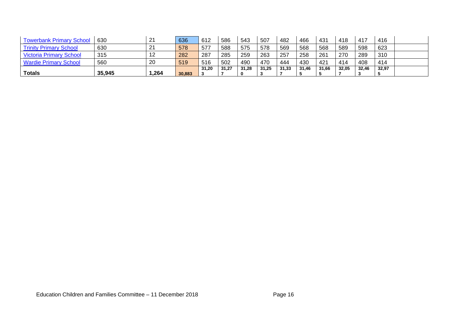| <b>Towerbank Primary School</b> | 630    | 21   | 636    | 612   | 586   | 543   | 507   | 482   | 466   | 431   | 418   | 417   | 416   |  |
|---------------------------------|--------|------|--------|-------|-------|-------|-------|-------|-------|-------|-------|-------|-------|--|
| <b>Trinity Primary School</b>   | 630    | 21   | 578    | 577   | 588   | 575   | 578   | 569   | 568   | 568   | 589   | 598   | 623   |  |
| <b>Victoria Primary School</b>  | 315    | 12   | 282    | 287   | 285   | 259   | 263   | 257   | 258   | 261   | 270   | 289   | 310   |  |
| <b>Wardie Primary School</b>    | 560    | 20   | 519    | 516   | 502   | 490   | 470   | 444   | 430   | 421   | 414   | 408   | 414   |  |
|                                 |        |      |        | 31,20 | 31.27 | 31.28 | 31.25 | 31.33 | 31.46 | 31.66 | 32,05 | 32,46 | 32,97 |  |
| <b>Totals</b>                   | 35,945 | ,264 | 30,883 |       |       |       | ູ     |       |       |       |       | J.    |       |  |